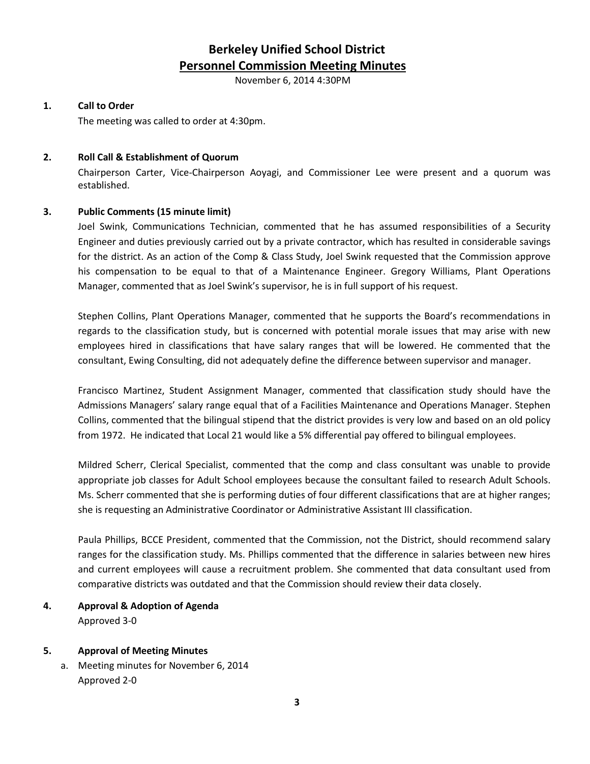# **Berkeley Unified School District Personnel Commission Meeting Minutes**

November 6, 2014 4:30PM

#### **1. Call to Order**

The meeting was called to order at 4:30pm.

#### **2. Roll Call & Establishment of Quorum**

Chairperson Carter, Vice-Chairperson Aoyagi, and Commissioner Lee were present and a quorum was established.

#### **3. Public Comments (15 minute limit)**

Joel Swink, Communications Technician, commented that he has assumed responsibilities of a Security Engineer and duties previously carried out by a private contractor, which has resulted in considerable savings for the district. As an action of the Comp & Class Study, Joel Swink requested that the Commission approve his compensation to be equal to that of a Maintenance Engineer. Gregory Williams, Plant Operations Manager, commented that as Joel Swink's supervisor, he is in full support of his request.

Stephen Collins, Plant Operations Manager, commented that he supports the Board's recommendations in regards to the classification study, but is concerned with potential morale issues that may arise with new employees hired in classifications that have salary ranges that will be lowered. He commented that the consultant, Ewing Consulting, did not adequately define the difference between supervisor and manager.

Francisco Martinez, Student Assignment Manager, commented that classification study should have the Admissions Managers' salary range equal that of a Facilities Maintenance and Operations Manager. Stephen Collins, commented that the bilingual stipend that the district provides is very low and based on an old policy from 1972. He indicated that Local 21 would like a 5% differential pay offered to bilingual employees.

Mildred Scherr, Clerical Specialist, commented that the comp and class consultant was unable to provide appropriate job classes for Adult School employees because the consultant failed to research Adult Schools. Ms. Scherr commented that she is performing duties of four different classifications that are at higher ranges; she is requesting an Administrative Coordinator or Administrative Assistant III classification.

Paula Phillips, BCCE President, commented that the Commission, not the District, should recommend salary ranges for the classification study. Ms. Phillips commented that the difference in salaries between new hires and current employees will cause a recruitment problem. She commented that data consultant used from comparative districts was outdated and that the Commission should review their data closely.

## **4. Approval & Adoption of Agenda** Approved 3-0

## **5. Approval of Meeting Minutes**

a. Meeting minutes for November 6, 2014 Approved 2-0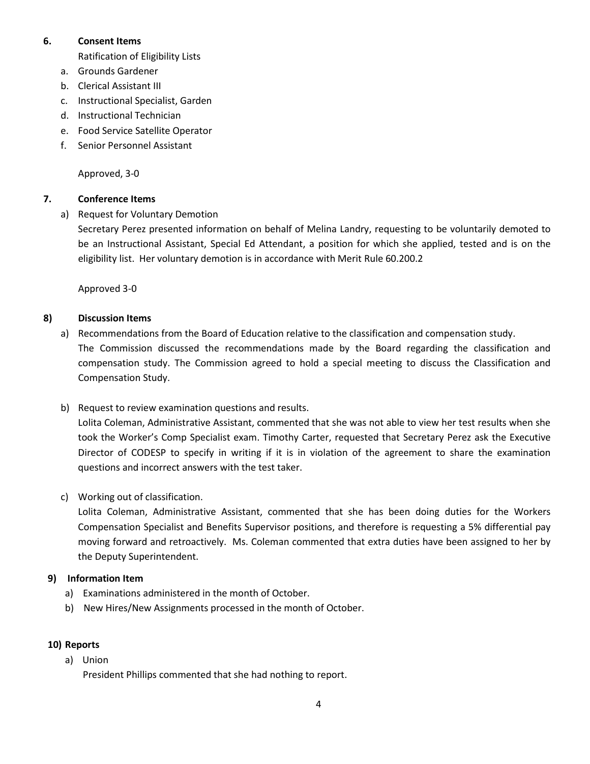#### **6. Consent Items**

Ratification of Eligibility Lists

- a. Grounds Gardener
- b. Clerical Assistant III
- c. Instructional Specialist, Garden
- d. Instructional Technician
- e. Food Service Satellite Operator
- f. Senior Personnel Assistant

Approved, 3-0

## **7. Conference Items**

a) Request for Voluntary Demotion

Secretary Perez presented information on behalf of Melina Landry, requesting to be voluntarily demoted to be an Instructional Assistant, Special Ed Attendant, a position for which she applied, tested and is on the eligibility list. Her voluntary demotion is in accordance with Merit Rule 60.200.2

Approved 3-0

## **8) Discussion Items**

- a) Recommendations from the Board of Education relative to the classification and compensation study. The Commission discussed the recommendations made by the Board regarding the classification and compensation study. The Commission agreed to hold a special meeting to discuss the Classification and Compensation Study.
- b) Request to review examination questions and results.

Lolita Coleman, Administrative Assistant, commented that she was not able to view her test results when she took the Worker's Comp Specialist exam. Timothy Carter, requested that Secretary Perez ask the Executive Director of CODESP to specify in writing if it is in violation of the agreement to share the examination questions and incorrect answers with the test taker.

c) Working out of classification.

Lolita Coleman, Administrative Assistant, commented that she has been doing duties for the Workers Compensation Specialist and Benefits Supervisor positions, and therefore is requesting a 5% differential pay moving forward and retroactively. Ms. Coleman commented that extra duties have been assigned to her by the Deputy Superintendent.

- **9) Information Item**
	- a) Examinations administered in the month of October.
	- b) New Hires/New Assignments processed in the month of October.

#### **10) Reports**

a) Union

President Phillips commented that she had nothing to report.